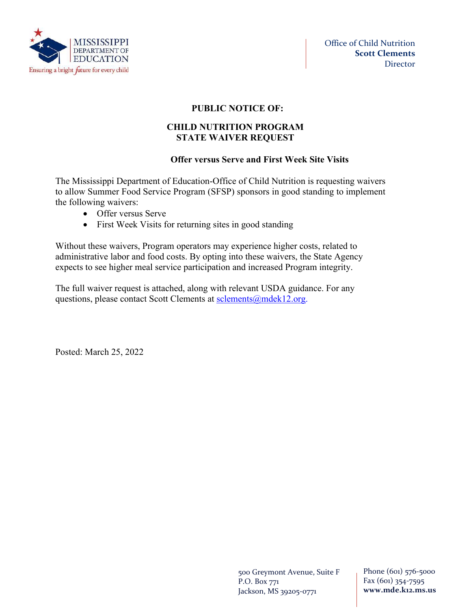

# **PUBLIC NOTICE OF:**

## **CHILD NUTRITION PROGRAM STATE WAIVER REQUEST**

## **Offer versus Serve and First Week Site Visits**

The Mississippi Department of Education-Office of Child Nutrition is requesting waivers to allow Summer Food Service Program (SFSP) sponsors in good standing to implement the following waivers:

- Offer versus Serve
- First Week Visits for returning sites in good standing

Without these waivers, Program operators may experience higher costs, related to administrative labor and food costs. By opting into these waivers, the State Agency expects to see higher meal service participation and increased Program integrity.

The full waiver request is attached, along with relevant USDA guidance. For any questions, please contact Scott Clements at sclements @mdek12.org.

Posted: March 25, 2022

500 Greymont Avenue, Suite F P.O. Box 771 Jackson, MS 39205-0771

Phone (601) 576-5000 Fax (601) 354-7595 **www.mde.k12.ms.us**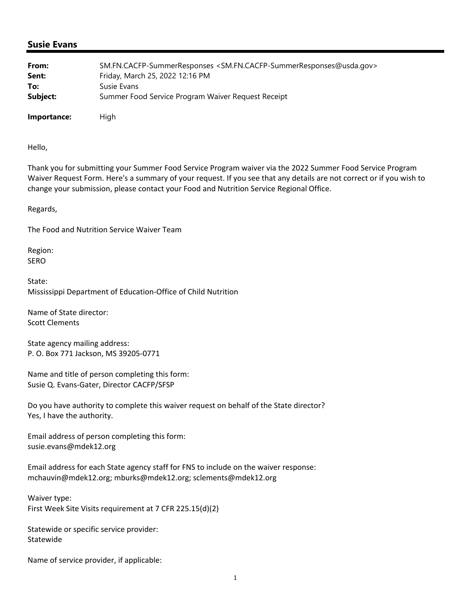### **Susie Evans**

| From:       | SM.FN.CACFP-SummerResponses <sm.fn.cacfp-summerresponses@usda.gov></sm.fn.cacfp-summerresponses@usda.gov> |
|-------------|-----------------------------------------------------------------------------------------------------------|
| Sent:       | Friday, March 25, 2022 12:16 PM                                                                           |
| To:         | Susie Evans                                                                                               |
| Subject:    | Summer Food Service Program Waiver Request Receipt                                                        |
| Importance: | High                                                                                                      |

Hello,

Thank you for submitting your Summer Food Service Program waiver via the 2022 Summer Food Service Program Waiver Request Form. Here's a summary of your request. If you see that any details are not correct or if you wish to change your submission, please contact your Food and Nutrition Service Regional Office.

Regards,

The Food and Nutrition Service Waiver Team

Region: SERO

State: Mississippi Department of Education‐Office of Child Nutrition

Name of State director: Scott Clements

State agency mailing address: P. O. Box 771 Jackson, MS 39205‐0771

Name and title of person completing this form: Susie Q. Evans‐Gater, Director CACFP/SFSP

Do you have authority to complete this waiver request on behalf of the State director? Yes, I have the authority.

Email address of person completing this form: susie.evans@mdek12.org

Email address for each State agency staff for FNS to include on the waiver response: mchauvin@mdek12.org; mburks@mdek12.org; sclements@mdek12.org

Waiver type: First Week Site Visits requirement at 7 CFR 225.15(d)(2)

Statewide or specific service provider: Statewide

Name of service provider, if applicable: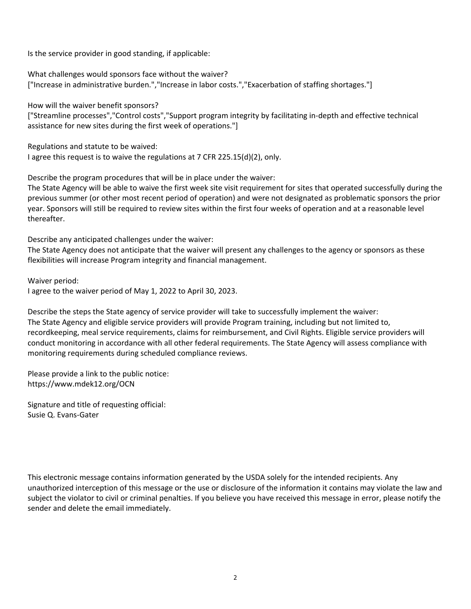Is the service provider in good standing, if applicable:

What challenges would sponsors face without the waiver? ["Increase in administrative burden.","Increase in labor costs.","Exacerbation of staffing shortages."]

How will the waiver benefit sponsors?

["Streamline processes","Control costs","Support program integrity by facilitating in‐depth and effective technical assistance for new sites during the first week of operations."]

Regulations and statute to be waived:

I agree this request is to waive the regulations at 7 CFR 225.15(d)(2), only.

Describe the program procedures that will be in place under the waiver:

The State Agency will be able to waive the first week site visit requirement for sites that operated successfully during the previous summer (or other most recent period of operation) and were not designated as problematic sponsors the prior year. Sponsors will still be required to review sites within the first four weeks of operation and at a reasonable level thereafter.

Describe any anticipated challenges under the waiver:

The State Agency does not anticipate that the waiver will present any challenges to the agency or sponsors as these flexibilities will increase Program integrity and financial management.

Waiver period:

I agree to the waiver period of May 1, 2022 to April 30, 2023.

Describe the steps the State agency of service provider will take to successfully implement the waiver: The State Agency and eligible service providers will provide Program training, including but not limited to, recordkeeping, meal service requirements, claims for reimbursement, and Civil Rights. Eligible service providers will conduct monitoring in accordance with all other federal requirements. The State Agency will assess compliance with monitoring requirements during scheduled compliance reviews.

Please provide a link to the public notice: https://www.mdek12.org/OCN

Signature and title of requesting official: Susie Q. Evans‐Gater

This electronic message contains information generated by the USDA solely for the intended recipients. Any unauthorized interception of this message or the use or disclosure of the information it contains may violate the law and subject the violator to civil or criminal penalties. If you believe you have received this message in error, please notify the sender and delete the email immediately.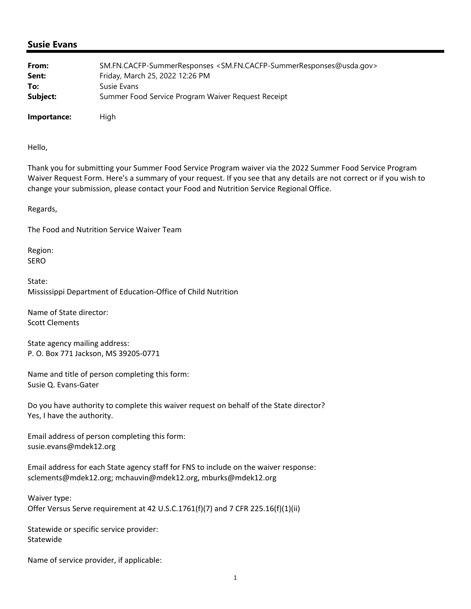### **Susie Evans**

| From:       | SM.FN.CACFP-SummerResponses <sm.fn.cacfp-summerresponses@usda.gov></sm.fn.cacfp-summerresponses@usda.gov> |
|-------------|-----------------------------------------------------------------------------------------------------------|
| Sent:       | Friday, March 25, 2022 12:26 PM                                                                           |
| To:         | Susie Evans                                                                                               |
| Subject:    | Summer Food Service Program Waiver Request Receipt                                                        |
| Importance: | High                                                                                                      |

Hello,

Thank you for submitting your Summer Food Service Program waiver via the 2022 Summer Food Service Program Waiver Request Form. Here's a summary of your request. If you see that any details are not correct or if you wish to change your submission, please contact your Food and Nutrition Service Regional Office.

Regards,

The Food and Nutrition Service Waiver Team

Region: SERO

State: Mississippi Department of Education‐Office of Child Nutrition

Name of State director: Scott Clements

State agency mailing address: P. O. Box 771 Jackson, MS 39205‐0771

Name and title of person completing this form: Susie Q. Evans‐Gater

Do you have authority to complete this waiver request on behalf of the State director? Yes, I have the authority.

Email address of person completing this form: susie.evans@mdek12.org

Email address for each State agency staff for FNS to include on the waiver response: sclements@mdek12.org; mchauvin@mdek12.org, mburks@mdek12.org

Waiver type: Offer Versus Serve requirement at 42 U.S.C.1761(f)(7) and 7 CFR 225.16(f)(1)(ii)

Statewide or specific service provider: Statewide

Name of service provider, if applicable: